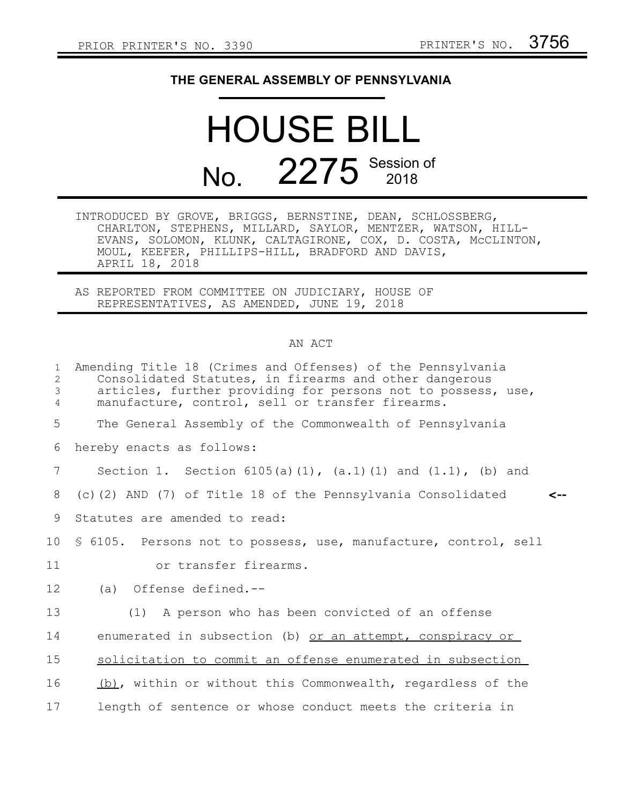## **THE GENERAL ASSEMBLY OF PENNSYLVANIA**

## HOUSE BILL No. 2275 Session of

INTRODUCED BY GROVE, BRIGGS, BERNSTINE, DEAN, SCHLOSSBERG, CHARLTON, STEPHENS, MILLARD, SAYLOR, MENTZER, WATSON, HILL-EVANS, SOLOMON, KLUNK, CALTAGIRONE, COX, D. COSTA, McCLINTON, MOUL, KEEFER, PHILLIPS-HILL, BRADFORD AND DAVIS, APRIL 18, 2018

AS REPORTED FROM COMMITTEE ON JUDICIARY, HOUSE OF REPRESENTATIVES, AS AMENDED, JUNE 19, 2018

## AN ACT

| $\mathbf{1}$<br>2<br>3<br>$\overline{4}$ | Amending Title 18 (Crimes and Offenses) of the Pennsylvania<br>Consolidated Statutes, in firearms and other dangerous<br>articles, further providing for persons not to possess, use,<br>manufacture, control, sell or transfer firearms. |
|------------------------------------------|-------------------------------------------------------------------------------------------------------------------------------------------------------------------------------------------------------------------------------------------|
| 5                                        | The General Assembly of the Commonwealth of Pennsylvania                                                                                                                                                                                  |
| 6                                        | hereby enacts as follows:                                                                                                                                                                                                                 |
| 7                                        | Section 1. Section $6105(a)(1)$ , $(a.1)(1)$ and $(1.1)$ , $(b)$ and                                                                                                                                                                      |
| 8                                        | (c)(2) AND (7) of Title 18 of the Pennsylvania Consolidated                                                                                                                                                                               |
| 9                                        | Statutes are amended to read:                                                                                                                                                                                                             |
| 10 <sup>°</sup>                          | \$ 6105. Persons not to possess, use, manufacture, control, sell                                                                                                                                                                          |
| 11                                       | or transfer firearms.                                                                                                                                                                                                                     |
| 12                                       | (a) Offense defined.--                                                                                                                                                                                                                    |
| 13                                       | (1) A person who has been convicted of an offense                                                                                                                                                                                         |
| 14                                       | enumerated in subsection (b) or an attempt, conspiracy or                                                                                                                                                                                 |
| 15                                       | solicitation to commit an offense enumerated in subsection                                                                                                                                                                                |
| 16                                       | (b), within or without this Commonwealth, regardless of the                                                                                                                                                                               |
| 17                                       | length of sentence or whose conduct meets the criteria in                                                                                                                                                                                 |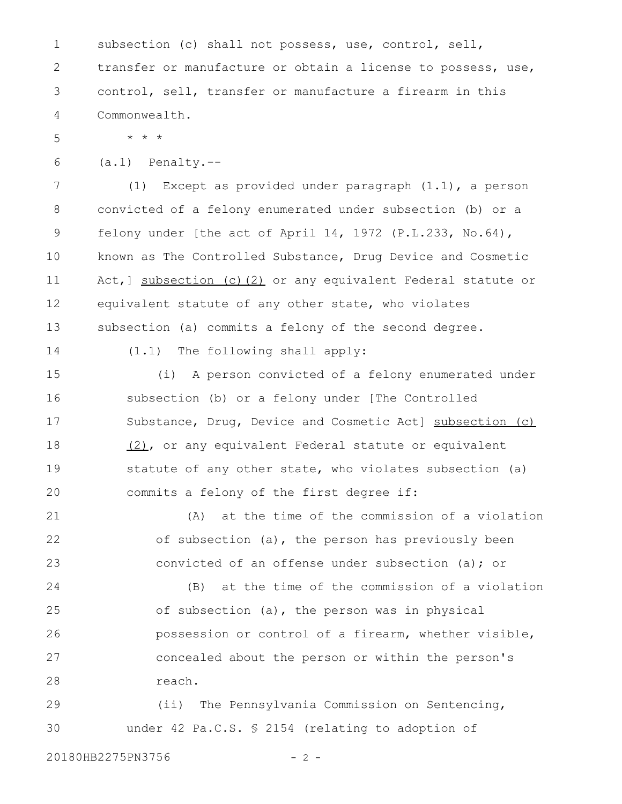subsection (c) shall not possess, use, control, sell, transfer or manufacture or obtain a license to possess, use, control, sell, transfer or manufacture a firearm in this Commonwealth. 1 2 3 4

5

(a.1) Penalty.-- 6

\* \* \*

(1) Except as provided under paragraph (1.1), a person convicted of a felony enumerated under subsection (b) or a felony under [the act of April 14, 1972 (P.L.233, No.64), known as The Controlled Substance, Drug Device and Cosmetic Act,] subsection (c)(2) or any equivalent Federal statute or equivalent statute of any other state, who violates subsection (a) commits a felony of the second degree. 7 8 9 10 11 12 13

14

(1.1) The following shall apply:

(i) A person convicted of a felony enumerated under subsection (b) or a felony under [The Controlled Substance, Drug, Device and Cosmetic Act] subsection (c) (2), or any equivalent Federal statute or equivalent statute of any other state, who violates subsection (a) commits a felony of the first degree if: 15 16 17 18 19 20

(A) at the time of the commission of a violation of subsection (a), the person has previously been convicted of an offense under subsection (a); or 21 22 23

(B) at the time of the commission of a violation of subsection (a), the person was in physical possession or control of a firearm, whether visible, concealed about the person or within the person's reach. 24 25 26 27 28

(ii) The Pennsylvania Commission on Sentencing, under 42 Pa.C.S. § 2154 (relating to adoption of 29 30

20180HB2275PN3756 - 2 -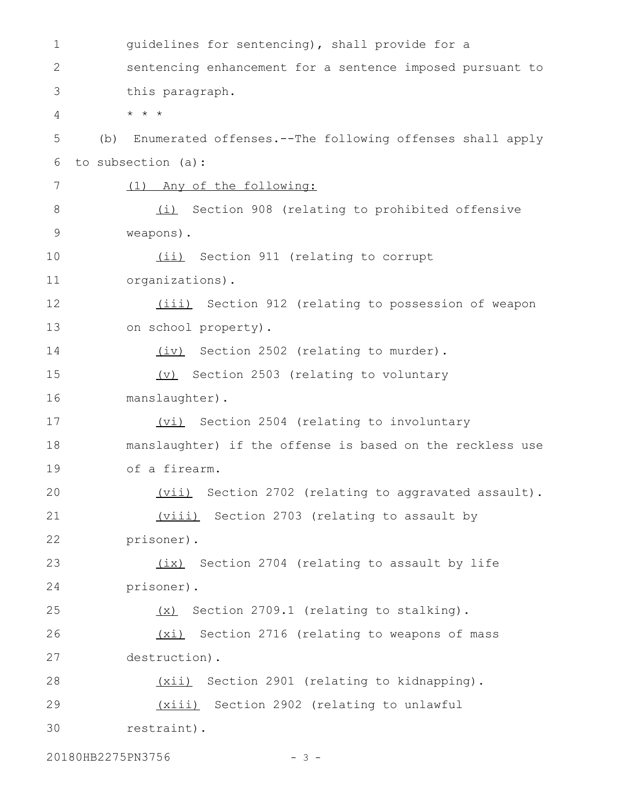guidelines for sentencing), shall provide for a sentencing enhancement for a sentence imposed pursuant to this paragraph. \* \* \* (b) Enumerated offenses.--The following offenses shall apply to subsection (a): (1) Any of the following: (i) Section 908 (relating to prohibited offensive weapons). (ii) Section 911 (relating to corrupt organizations). (iii) Section 912 (relating to possession of weapon on school property). (iv) Section 2502 (relating to murder). (v) Section 2503 (relating to voluntary manslaughter). (vi) Section 2504 (relating to involuntary manslaughter) if the offense is based on the reckless use of a firearm. (vii) Section 2702 (relating to aggravated assault). (viii) Section 2703 (relating to assault by prisoner). (ix) Section 2704 (relating to assault by life prisoner). (x) Section 2709.1 (relating to stalking). (xi) Section 2716 (relating to weapons of mass destruction). (xii) Section 2901 (relating to kidnapping). (xiii) Section 2902 (relating to unlawful restraint). 1 2 3 4 5 6 7 8 9 10 11 12 13 14 15 16 17 18 19 20 21 22 23 24 25 26 27 28 29 30

20180HB2275PN3756 - 3 -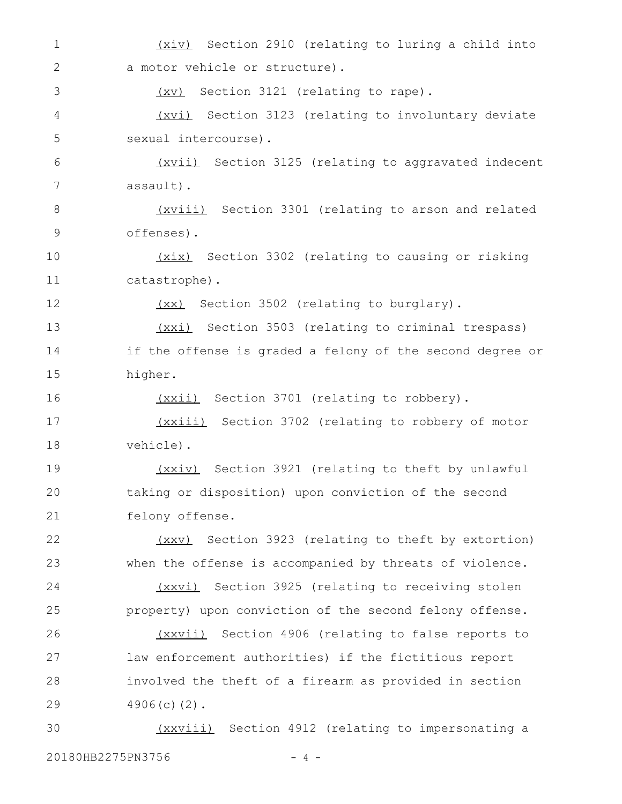(xiv) Section 2910 (relating to luring a child into a motor vehicle or structure). (xv) Section 3121 (relating to rape). (xvi) Section 3123 (relating to involuntary deviate sexual intercourse). (xvii) Section 3125 (relating to aggravated indecent assault). (xviii) Section 3301 (relating to arson and related offenses). (xix) Section 3302 (relating to causing or risking catastrophe). (xx) Section 3502 (relating to burglary). (xxi) Section 3503 (relating to criminal trespass) if the offense is graded a felony of the second degree or higher. (xxii) Section 3701 (relating to robbery). (xxiii) Section 3702 (relating to robbery of motor vehicle). (xxiv) Section 3921 (relating to theft by unlawful taking or disposition) upon conviction of the second felony offense. (xxv) Section 3923 (relating to theft by extortion) when the offense is accompanied by threats of violence. (xxvi) Section 3925 (relating to receiving stolen property) upon conviction of the second felony offense. (xxvii) Section 4906 (relating to false reports to law enforcement authorities) if the fictitious report involved the theft of a firearm as provided in section 4906(c)(2). (xxviii) Section 4912 (relating to impersonating a 1 2 3 4 5 6 7 8 9 10 11 12 13 14 15 16 17 18 19 20 21 22 23 24 25 26 27 28 29 30

20180HB2275PN3756 - 4 -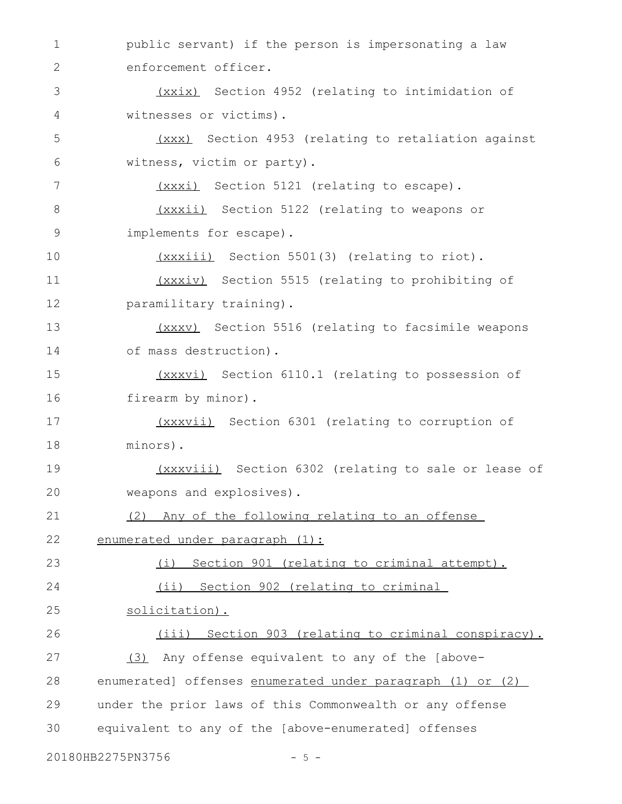public servant) if the person is impersonating a law enforcement officer. (xxix) Section 4952 (relating to intimidation of witnesses or victims). (xxx) Section 4953 (relating to retaliation against witness, victim or party). (xxxi) Section 5121 (relating to escape). (xxxii) Section 5122 (relating to weapons or implements for escape). (xxxiii) Section 5501(3) (relating to riot). (xxxiv) Section 5515 (relating to prohibiting of paramilitary training). (xxxv) Section 5516 (relating to facsimile weapons of mass destruction). (xxxvi) Section 6110.1 (relating to possession of firearm by minor). (xxxvii) Section 6301 (relating to corruption of minors). (xxxviii) Section 6302 (relating to sale or lease of weapons and explosives). (2) Any of the following relating to an offense enumerated under paragraph (1): (i) Section 901 (relating to criminal attempt). (ii) Section 902 (relating to criminal solicitation). (iii) Section 903 (relating to criminal conspiracy). (3) Any offense equivalent to any of the [aboveenumerated] offenses enumerated under paragraph (1) or (2) under the prior laws of this Commonwealth or any offense equivalent to any of the [above-enumerated] offenses 1 2 3 4 5 6 7 8 9 10 11 12 13 14 15 16 17 18 19 20 21 22 23 24 25 26 27 28 29 30

20180HB2275PN3756 - 5 -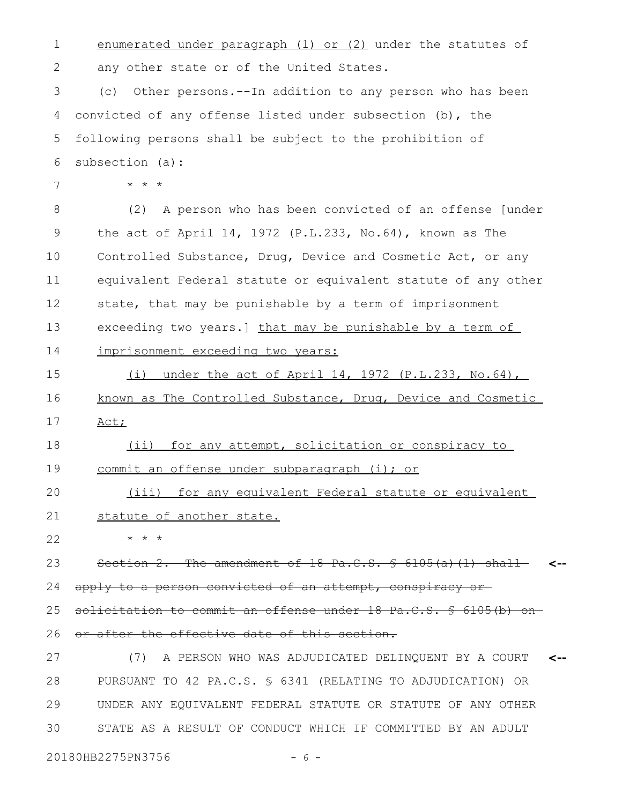enumerated under paragraph (1) or (2) under the statutes of any other state or of the United States. (c) Other persons.--In addition to any person who has been convicted of any offense listed under subsection (b), the following persons shall be subject to the prohibition of subsection (a): \* \* \* (2) A person who has been convicted of an offense [under the act of April 14, 1972 (P.L.233, No.64), known as The Controlled Substance, Drug, Device and Cosmetic Act, or any equivalent Federal statute or equivalent statute of any other state, that may be punishable by a term of imprisonment exceeding two years.] that may be punishable by a term of imprisonment exceeding two years: (i) under the act of April 14, 1972 (P.L.233, No.64), known as The Controlled Substance, Drug, Device and Cosmetic Act; (ii) for any attempt, solicitation or conspiracy to commit an offense under subparagraph (i); or (iii) for any equivalent Federal statute or equivalent statute of another state. \* \* \* Section 2. The amendment of 18 Pa.C.S. § 6105(a)(1) shallapply to a person convicted of an attempt, conspiracy or solicitation to commit an offense under 18 Pa.C.S. § 6105(b) onor after the effective date of this section. (7) A PERSON WHO WAS ADJUDICATED DELINQUENT BY A COURT PURSUANT TO 42 PA.C.S. § 6341 (RELATING TO ADJUDICATION) OR UNDER ANY EQUIVALENT FEDERAL STATUTE OR STATUTE OF ANY OTHER STATE AS A RESULT OF CONDUCT WHICH IF COMMITTED BY AN ADULT **<-- <--** 1 2 3 4 5 6 7 8 9 10 11 12 13 14 15 16 17 18 19 20 21 22 23 24 25 26 27 28 29 30

20180HB2275PN3756 - 6 -